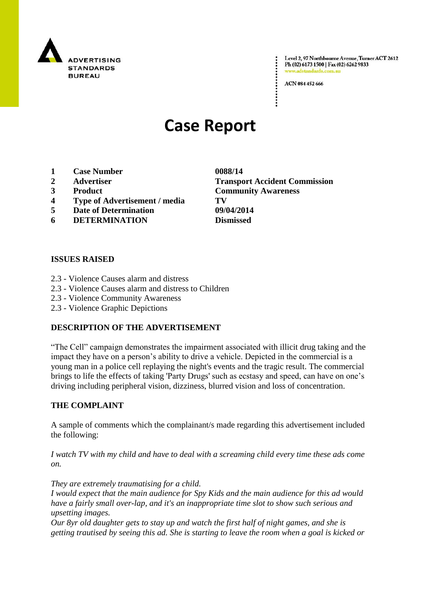

Level 2, 97 Northbourne Avenue, Turner ACT 2612 Ph (02) 6173 1500 | Fax (02) 6262 9833 adstandards.com.a

ACN 084 452 666

# **Case Report**

- **1 Case Number 0088/14**
- 
- 
- **4 Type of Advertisement / media TV**
- **5 Date of Determination 09/04/2014**
- **6 DETERMINATION Dismissed**

#### **ISSUES RAISED**

- 2.3 Violence Causes alarm and distress
- 2.3 Violence Causes alarm and distress to Children
- 2.3 Violence Community Awareness
- 2.3 Violence Graphic Depictions

#### **DESCRIPTION OF THE ADVERTISEMENT**

"The Cell" campaign demonstrates the impairment associated with illicit drug taking and the impact they have on a person"s ability to drive a vehicle. Depicted in the commercial is a young man in a police cell replaying the night's events and the tragic result. The commercial brings to life the effects of taking 'Party Drugs' such as ecstasy and speed, can have on one"s driving including peripheral vision, dizziness, blurred vision and loss of concentration.

#### **THE COMPLAINT**

A sample of comments which the complainant/s made regarding this advertisement included the following:

*I watch TV with my child and have to deal with a screaming child every time these ads come on.*

*They are extremely traumatising for a child.*

*I would expect that the main audience for Spy Kids and the main audience for this ad would have a fairly small over-lap, and it's an inappropriate time slot to show such serious and upsetting images.*

*Our 8yr old daughter gets to stay up and watch the first half of night games, and she is getting trautised by seeing this ad. She is starting to leave the room when a goal is kicked or* 

**2 Advertiser Transport Accident Commission 3 Product Community Awareness**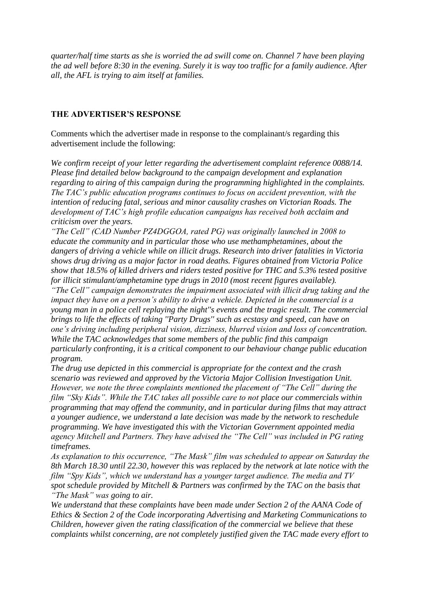*quarter/half time starts as she is worried the ad swill come on. Channel 7 have been playing the ad well before 8:30 in the evening. Surely it is way too traffic for a family audience. After all, the AFL is trying to aim itself at families.*

### **THE ADVERTISER'S RESPONSE**

Comments which the advertiser made in response to the complainant/s regarding this advertisement include the following:

*We confirm receipt of your letter regarding the advertisement complaint reference 0088/14. Please find detailed below background to the campaign development and explanation regarding to airing of this campaign during the programming highlighted in the complaints. The TAC's public education programs continues to focus on accident prevention, with the intention of reducing fatal, serious and minor causality crashes on Victorian Roads. The development of TAC's high profile education campaigns has received both acclaim and criticism over the years.*

*"The Cell" (CAD Number PZ4DGGOA, rated PG) was originally launched in 2008 to educate the community and in particular those who use methamphetamines, about the dangers of driving a vehicle while on illicit drugs. Research into driver fatalities in Victoria shows drug driving as a major factor in road deaths. Figures obtained from Victoria Police show that 18.5% of killed drivers and riders tested positive for THC and 5.3% tested positive for illicit stimulant/amphetamine type drugs in 2010 (most recent figures available).*

*"The Cell" campaign demonstrates the impairment associated with illicit drug taking and the impact they have on a person's ability to drive a vehicle. Depicted in the commercial is a young man in a police cell replaying the night''s events and the tragic result. The commercial brings to life the effects of taking ''Party Drugs'' such as ecstasy and speed, can have on one's driving including peripheral vision, dizziness, blurred vision and loss of concentration. While the TAC acknowledges that some members of the public find this campaign particularly confronting, it is a critical component to our behaviour change public education program.*

*The drug use depicted in this commercial is appropriate for the context and the crash scenario was reviewed and approved by the Victoria Major Collision Investigation Unit. However, we note the three complaints mentioned the placement of "The Cell" during the film "Sky Kids". While the TAC takes all possible care to not place our commercials within programming that may offend the community, and in particular during films that may attract a younger audience, we understand a late decision was made by the network to reschedule programming. We have investigated this with the Victorian Government appointed media agency Mitchell and Partners. They have advised the "The Cell" was included in PG rating timeframes.*

*As explanation to this occurrence, "The Mask" film was scheduled to appear on Saturday the 8th March 18.30 until 22.30, however this was replaced by the network at late notice with the film "Spy Kids", which we understand has a younger target audience. The media and TV spot schedule provided by Mitchell & Partners was confirmed by the TAC on the basis that "The Mask" was going to air.*

*We understand that these complaints have been made under Section 2 of the AANA Code of Ethics & Section 2 of the Code incorporating Advertising and Marketing Communications to Children, however given the rating classification of the commercial we believe that these complaints whilst concerning, are not completely justified given the TAC made every effort to*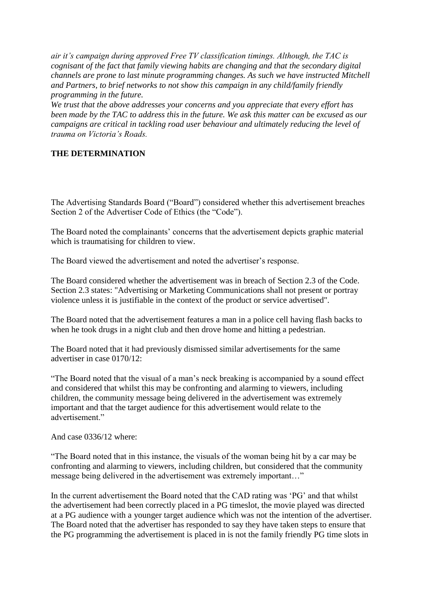*air it's campaign during approved Free TV classification timings. Although, the TAC is cognisant of the fact that family viewing habits are changing and that the secondary digital channels are prone to last minute programming changes. As such we have instructed Mitchell and Partners, to brief networks to not show this campaign in any child/family friendly programming in the future.*

*We trust that the above addresses your concerns and you appreciate that every effort has been made by the TAC to address this in the future. We ask this matter can be excused as our campaigns are critical in tackling road user behaviour and ultimately reducing the level of trauma on Victoria's Roads.*

## **THE DETERMINATION**

The Advertising Standards Board ("Board") considered whether this advertisement breaches Section 2 of the Advertiser Code of Ethics (the "Code").

The Board noted the complainants' concerns that the advertisement depicts graphic material which is traumatising for children to view.

The Board viewed the advertisement and noted the advertiser"s response.

The Board considered whether the advertisement was in breach of Section 2.3 of the Code. Section 2.3 states: "Advertising or Marketing Communications shall not present or portray violence unless it is justifiable in the context of the product or service advertised".

The Board noted that the advertisement features a man in a police cell having flash backs to when he took drugs in a night club and then drove home and hitting a pedestrian.

The Board noted that it had previously dismissed similar advertisements for the same advertiser in case 0170/12:

"The Board noted that the visual of a man"s neck breaking is accompanied by a sound effect and considered that whilst this may be confronting and alarming to viewers, including children, the community message being delivered in the advertisement was extremely important and that the target audience for this advertisement would relate to the advertisement."

And case 0336/12 where:

"The Board noted that in this instance, the visuals of the woman being hit by a car may be confronting and alarming to viewers, including children, but considered that the community message being delivered in the advertisement was extremely important…"

In the current advertisement the Board noted that the CAD rating was "PG" and that whilst the advertisement had been correctly placed in a PG timeslot, the movie played was directed at a PG audience with a younger target audience which was not the intention of the advertiser. The Board noted that the advertiser has responded to say they have taken steps to ensure that the PG programming the advertisement is placed in is not the family friendly PG time slots in